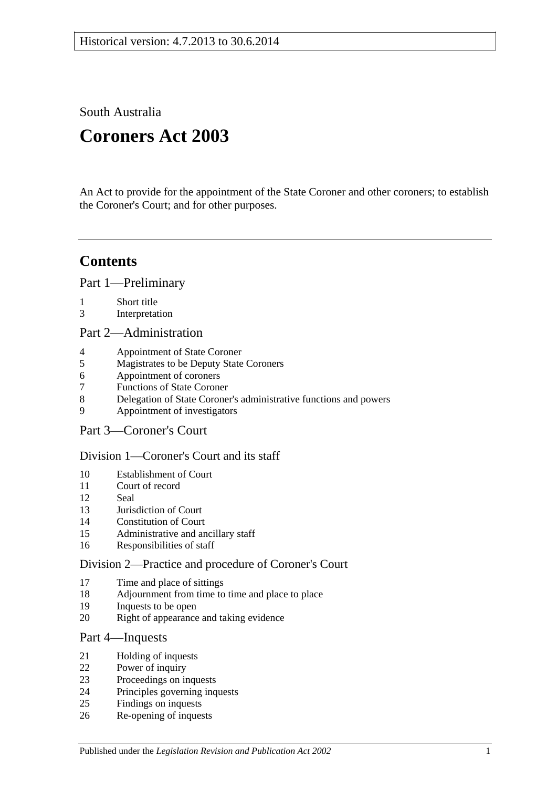South Australia

# **Coroners Act 2003**

An Act to provide for the appointment of the State Coroner and other coroners; to establish the Coroner's Court; and for other purposes.

# **Contents**

[Part 1—Preliminary](#page-1-0)

- [Short title](#page-1-1)
- [Interpretation](#page-1-2)

[Part 2—Administration](#page-4-0)

- [Appointment of State Coroner](#page-4-1)
- [Magistrates to be Deputy State Coroners](#page-4-2)
- [Appointment of coroners](#page-4-3)
- [Functions of State Coroner](#page-5-0)
- [Delegation of State Coroner's administrative functions and powers](#page-5-1)
- [Appointment of investigators](#page-5-2)
- [Part 3—Coroner's Court](#page-5-3)

### [Division 1—Coroner's Court and its staff](#page-5-4)

- [Establishment of Court](#page-5-5)
- [Court of record](#page-6-0)<br>12 Seal
- [Seal](#page-6-1)
- [Jurisdiction of Court](#page-6-2)
- [Constitution of Court](#page-6-3)
- [Administrative and ancillary staff](#page-6-4)
- [Responsibilities of staff](#page-6-5)

#### [Division 2—Practice and procedure of Coroner's Court](#page-6-6)

- [Time and place of sittings](#page-6-7)
- [Adjournment from time to time and place to place](#page-6-8)
- [Inquests to be open](#page-7-0)
- [Right of appearance and taking evidence](#page-7-1)

### [Part 4—Inquests](#page-7-2)

- [Holding of inquests](#page-7-3)
- [Power of inquiry](#page-8-0)
- [Proceedings on inquests](#page-9-0)
- [Principles governing inquests](#page-10-0)
- [Findings on inquests](#page-10-1)
- [Re-opening of inquests](#page-11-0)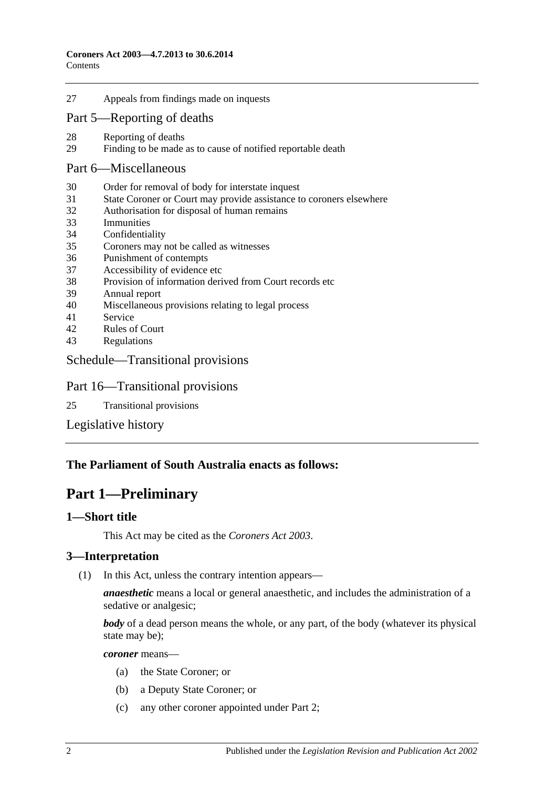27 [Appeals from findings made on inquests](#page-11-1)

### [Part 5—Reporting of deaths](#page-12-0)

- 28 [Reporting of deaths](#page-12-1)<br>29 Finding to be made
- [Finding to be made as to cause of notified reportable death](#page-12-2)

#### [Part 6—Miscellaneous](#page-12-3)

- 30 [Order for removal of body for interstate inquest](#page-12-4)
- 31 [State Coroner or Court may provide assistance to coroners elsewhere](#page-13-0)
- 32 [Authorisation for disposal of human remains](#page-13-1)
- 33 [Immunities](#page-13-2)
- 34 [Confidentiality](#page-13-3)
- 35 [Coroners may not be called as](#page-13-4) witnesses
- 36 [Punishment of contempts](#page-14-0)
- 37 [Accessibility of evidence etc](#page-14-1)
- 38 [Provision of information derived from Court records etc](#page-14-2)
- 39 [Annual report](#page-15-0)
- 40 [Miscellaneous provisions relating to legal process](#page-15-1)
- 41 [Service](#page-15-2)
- 42 [Rules of Court](#page-15-3)
- 43 [Regulations](#page-15-4)

#### [Schedule—Transitional provisions](#page-16-0)

#### Part 16—Transitional provisions

25 [Transitional provisions](#page-16-1)

[Legislative history](#page-17-0)

#### <span id="page-1-0"></span>**The Parliament of South Australia enacts as follows:**

# **Part 1—Preliminary**

#### <span id="page-1-1"></span>**1—Short title**

This Act may be cited as the *Coroners Act 2003*.

#### <span id="page-1-2"></span>**3—Interpretation**

(1) In this Act, unless the contrary intention appears—

*anaesthetic* means a local or general anaesthetic, and includes the administration of a sedative or analgesic;

*body* of a dead person means the whole, or any part, of the body (whatever its physical state may be);

*coroner* means—

- (a) the State Coroner; or
- (b) a Deputy State Coroner; or
- (c) any other coroner appointed under [Part 2;](#page-4-0)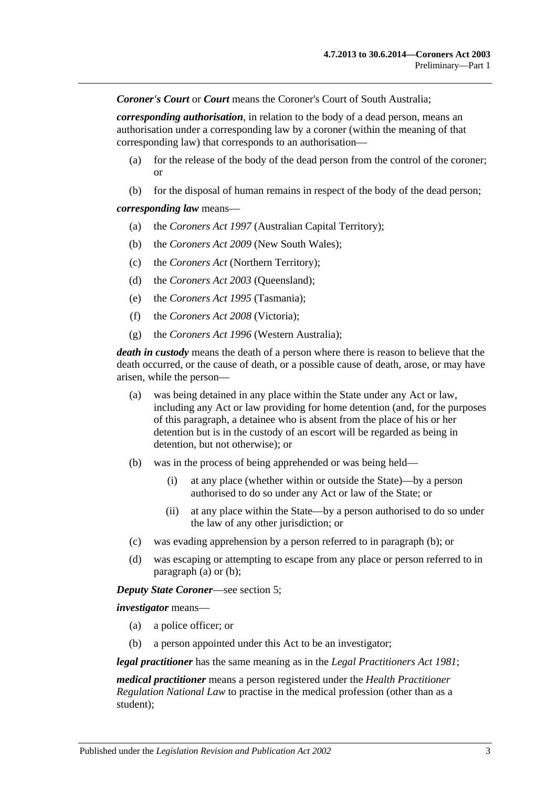*Coroner's Court* or *Court* means the Coroner's Court of South Australia;

*corresponding authorisation*, in relation to the body of a dead person, means an authorisation under a corresponding law by a coroner (within the meaning of that corresponding law) that corresponds to an authorisation—

- (a) for the release of the body of the dead person from the control of the coroner; or
- (b) for the disposal of human remains in respect of the body of the dead person;

#### *corresponding law* means—

- (a) the *Coroners Act 1997* (Australian Capital Territory);
- (b) the *Coroners Act 2009* (New South Wales);
- (c) the *Coroners Act* (Northern Territory);
- (d) the *Coroners Act 2003* (Queensland);
- (e) the *Coroners Act 1995* (Tasmania);
- (f) the *Coroners Act 2008* (Victoria);
- (g) the *Coroners Act 1996* (Western Australia);

<span id="page-2-1"></span>*death in custody* means the death of a person where there is reason to believe that the death occurred, or the cause of death, or a possible cause of death, arose, or may have arisen, while the person—

- (a) was being detained in any place within the State under any Act or law, including any Act or law providing for home detention (and, for the purposes of this paragraph, a detainee who is absent from the place of his or her detention but is in the custody of an escort will be regarded as being in detention, but not otherwise); or
- <span id="page-2-0"></span>(b) was in the process of being apprehended or was being held—
	- (i) at any place (whether within or outside the State)—by a person authorised to do so under any Act or law of the State; or
	- (ii) at any place within the State—by a person authorised to do so under the law of any other jurisdiction; or
- (c) was evading apprehension by a person referred to in [paragraph](#page-2-0) (b); or
- (d) was escaping or attempting to escape from any place or person referred to in [paragraph](#page-2-1) (a) or [\(b\);](#page-2-0)

#### *Deputy State Coroner*—see [section](#page-4-2) 5;

*investigator* means—

- (a) a police officer; or
- (b) a person appointed under this Act to be an investigator;

*legal practitioner* has the same meaning as in the *[Legal Practitioners Act](http://www.legislation.sa.gov.au/index.aspx?action=legref&type=act&legtitle=Legal%20Practitioners%20Act%201981) 1981*;

*medical practitioner* means a person registered under the *Health Practitioner Regulation National Law* to practise in the medical profession (other than as a student);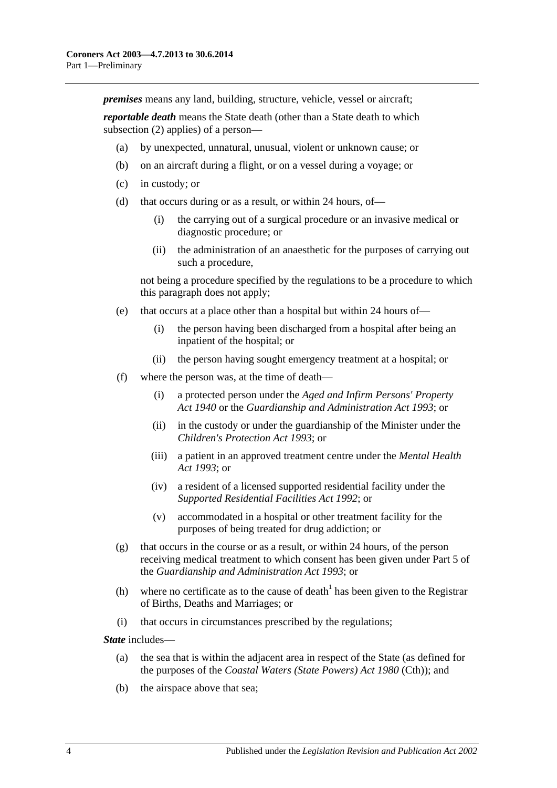*premises* means any land, building, structure, vehicle, vessel or aircraft;

*reportable death* means the State death (other than a State death to which [subsection](#page-4-4) (2) applies) of a person—

- (a) by unexpected, unnatural, unusual, violent or unknown cause; or
- (b) on an aircraft during a flight, or on a vessel during a voyage; or
- (c) in custody; or
- (d) that occurs during or as a result, or within 24 hours, of—
	- (i) the carrying out of a surgical procedure or an invasive medical or diagnostic procedure; or
	- (ii) the administration of an anaesthetic for the purposes of carrying out such a procedure,

not being a procedure specified by the regulations to be a procedure to which this paragraph does not apply;

- (e) that occurs at a place other than a hospital but within 24 hours of—
	- (i) the person having been discharged from a hospital after being an inpatient of the hospital; or
	- (ii) the person having sought emergency treatment at a hospital; or
- (f) where the person was, at the time of death—
	- (i) a protected person under the *[Aged and Infirm Persons' Property](http://www.legislation.sa.gov.au/index.aspx?action=legref&type=act&legtitle=Aged%20and%20Infirm%20Persons%20Property%20Act%201940)  Act [1940](http://www.legislation.sa.gov.au/index.aspx?action=legref&type=act&legtitle=Aged%20and%20Infirm%20Persons%20Property%20Act%201940)* or the *[Guardianship and Administration Act](http://www.legislation.sa.gov.au/index.aspx?action=legref&type=act&legtitle=Guardianship%20and%20Administration%20Act%201993) 1993*; or
	- (ii) in the custody or under the guardianship of the Minister under the *[Children's Protection Act](http://www.legislation.sa.gov.au/index.aspx?action=legref&type=act&legtitle=Childrens%20Protection%20Act%201993) 1993*; or
	- (iii) a patient in an approved treatment centre under the *[Mental Health](http://www.legislation.sa.gov.au/index.aspx?action=legref&type=act&legtitle=Mental%20Health%20Act%201993)  Act [1993](http://www.legislation.sa.gov.au/index.aspx?action=legref&type=act&legtitle=Mental%20Health%20Act%201993)*; or
	- (iv) a resident of a licensed supported residential facility under the *[Supported Residential Facilities Act](http://www.legislation.sa.gov.au/index.aspx?action=legref&type=act&legtitle=Supported%20Residential%20Facilities%20Act%201992) 1992*; or
	- (v) accommodated in a hospital or other treatment facility for the purposes of being treated for drug addiction; or
- (g) that occurs in the course or as a result, or within 24 hours, of the person receiving medical treatment to which consent has been given under Part 5 of the *[Guardianship and Administration Act](http://www.legislation.sa.gov.au/index.aspx?action=legref&type=act&legtitle=Guardianship%20and%20Administration%20Act%201993) 1993*; or
- (h) where no certificate as to the cause of death<sup>1</sup> has been given to the Registrar of Births, Deaths and Marriages; or
- (i) that occurs in circumstances prescribed by the regulations;

*State* includes—

- (a) the sea that is within the adjacent area in respect of the State (as defined for the purposes of the *Coastal Waters (State Powers) Act 1980* (Cth)); and
- (b) the airspace above that sea;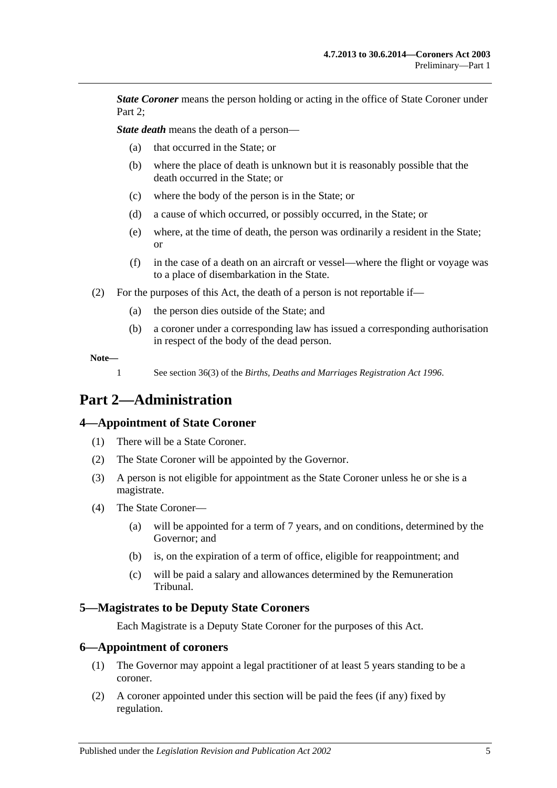*State Coroner* means the person holding or acting in the office of State Coroner under Part 2:

*State death* means the death of a person—

- (a) that occurred in the State; or
- (b) where the place of death is unknown but it is reasonably possible that the death occurred in the State; or
- (c) where the body of the person is in the State; or
- (d) a cause of which occurred, or possibly occurred, in the State; or
- (e) where, at the time of death, the person was ordinarily a resident in the State; or
- (f) in the case of a death on an aircraft or vessel—where the flight or voyage was to a place of disembarkation in the State.
- <span id="page-4-4"></span>(2) For the purposes of this Act, the death of a person is not reportable if—
	- (a) the person dies outside of the State; and
	- (b) a coroner under a corresponding law has issued a corresponding authorisation in respect of the body of the dead person.

**Note—**

1 See section 36(3) of the *[Births, Deaths and Marriages Registration Act](http://www.legislation.sa.gov.au/index.aspx?action=legref&type=act&legtitle=Births%20Deaths%20and%20Marriages%20Registration%20Act%201996) 1996*.

# <span id="page-4-0"></span>**Part 2—Administration**

# <span id="page-4-1"></span>**4—Appointment of State Coroner**

- (1) There will be a State Coroner.
- (2) The State Coroner will be appointed by the Governor.
- (3) A person is not eligible for appointment as the State Coroner unless he or she is a magistrate.
- (4) The State Coroner—
	- (a) will be appointed for a term of 7 years, and on conditions, determined by the Governor; and
	- (b) is, on the expiration of a term of office, eligible for reappointment; and
	- (c) will be paid a salary and allowances determined by the Remuneration Tribunal.

# <span id="page-4-2"></span>**5—Magistrates to be Deputy State Coroners**

Each Magistrate is a Deputy State Coroner for the purposes of this Act.

#### <span id="page-4-3"></span>**6—Appointment of coroners**

- (1) The Governor may appoint a legal practitioner of at least 5 years standing to be a coroner.
- (2) A coroner appointed under this section will be paid the fees (if any) fixed by regulation.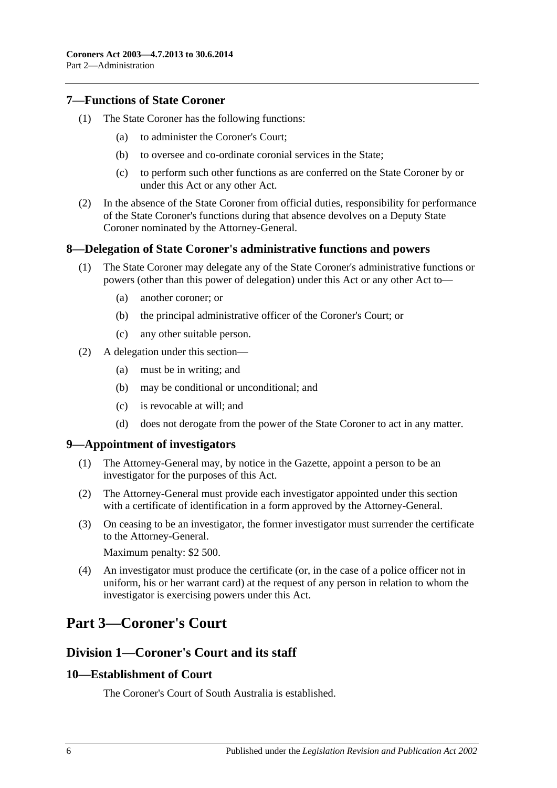### <span id="page-5-0"></span>**7—Functions of State Coroner**

- (1) The State Coroner has the following functions:
	- (a) to administer the Coroner's Court;
	- (b) to oversee and co-ordinate coronial services in the State;
	- (c) to perform such other functions as are conferred on the State Coroner by or under this Act or any other Act.
- (2) In the absence of the State Coroner from official duties, responsibility for performance of the State Coroner's functions during that absence devolves on a Deputy State Coroner nominated by the Attorney-General.

### <span id="page-5-1"></span>**8—Delegation of State Coroner's administrative functions and powers**

- (1) The State Coroner may delegate any of the State Coroner's administrative functions or powers (other than this power of delegation) under this Act or any other Act to—
	- (a) another coroner; or
	- (b) the principal administrative officer of the Coroner's Court; or
	- (c) any other suitable person.
- (2) A delegation under this section—
	- (a) must be in writing; and
	- (b) may be conditional or unconditional; and
	- (c) is revocable at will; and
	- (d) does not derogate from the power of the State Coroner to act in any matter.

#### <span id="page-5-2"></span>**9—Appointment of investigators**

- (1) The Attorney-General may, by notice in the Gazette, appoint a person to be an investigator for the purposes of this Act.
- (2) The Attorney-General must provide each investigator appointed under this section with a certificate of identification in a form approved by the Attorney-General.
- (3) On ceasing to be an investigator, the former investigator must surrender the certificate to the Attorney-General.

Maximum penalty: \$2 500.

(4) An investigator must produce the certificate (or, in the case of a police officer not in uniform, his or her warrant card) at the request of any person in relation to whom the investigator is exercising powers under this Act.

# <span id="page-5-3"></span>**Part 3—Coroner's Court**

# <span id="page-5-4"></span>**Division 1—Coroner's Court and its staff**

#### <span id="page-5-5"></span>**10—Establishment of Court**

The Coroner's Court of South Australia is established.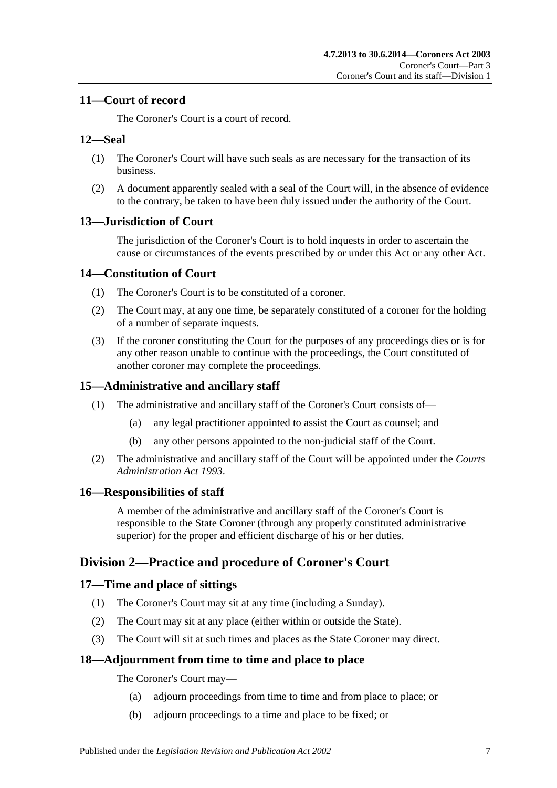# <span id="page-6-0"></span>**11—Court of record**

The Coroner's Court is a court of record.

# <span id="page-6-1"></span>**12—Seal**

- (1) The Coroner's Court will have such seals as are necessary for the transaction of its business.
- (2) A document apparently sealed with a seal of the Court will, in the absence of evidence to the contrary, be taken to have been duly issued under the authority of the Court.

# <span id="page-6-2"></span>**13—Jurisdiction of Court**

The jurisdiction of the Coroner's Court is to hold inquests in order to ascertain the cause or circumstances of the events prescribed by or under this Act or any other Act.

# <span id="page-6-3"></span>**14—Constitution of Court**

- (1) The Coroner's Court is to be constituted of a coroner.
- (2) The Court may, at any one time, be separately constituted of a coroner for the holding of a number of separate inquests.
- (3) If the coroner constituting the Court for the purposes of any proceedings dies or is for any other reason unable to continue with the proceedings, the Court constituted of another coroner may complete the proceedings.

# <span id="page-6-4"></span>**15—Administrative and ancillary staff**

- (1) The administrative and ancillary staff of the Coroner's Court consists of—
	- (a) any legal practitioner appointed to assist the Court as counsel; and
	- (b) any other persons appointed to the non-judicial staff of the Court.
- (2) The administrative and ancillary staff of the Court will be appointed under the *[Courts](http://www.legislation.sa.gov.au/index.aspx?action=legref&type=act&legtitle=Courts%20Administration%20Act%201993)  [Administration Act](http://www.legislation.sa.gov.au/index.aspx?action=legref&type=act&legtitle=Courts%20Administration%20Act%201993) 1993*.

# <span id="page-6-5"></span>**16—Responsibilities of staff**

A member of the administrative and ancillary staff of the Coroner's Court is responsible to the State Coroner (through any properly constituted administrative superior) for the proper and efficient discharge of his or her duties.

# <span id="page-6-6"></span>**Division 2—Practice and procedure of Coroner's Court**

# <span id="page-6-7"></span>**17—Time and place of sittings**

- (1) The Coroner's Court may sit at any time (including a Sunday).
- (2) The Court may sit at any place (either within or outside the State).
- (3) The Court will sit at such times and places as the State Coroner may direct.

# <span id="page-6-8"></span>**18—Adjournment from time to time and place to place**

The Coroner's Court may—

- (a) adjourn proceedings from time to time and from place to place; or
- (b) adjourn proceedings to a time and place to be fixed; or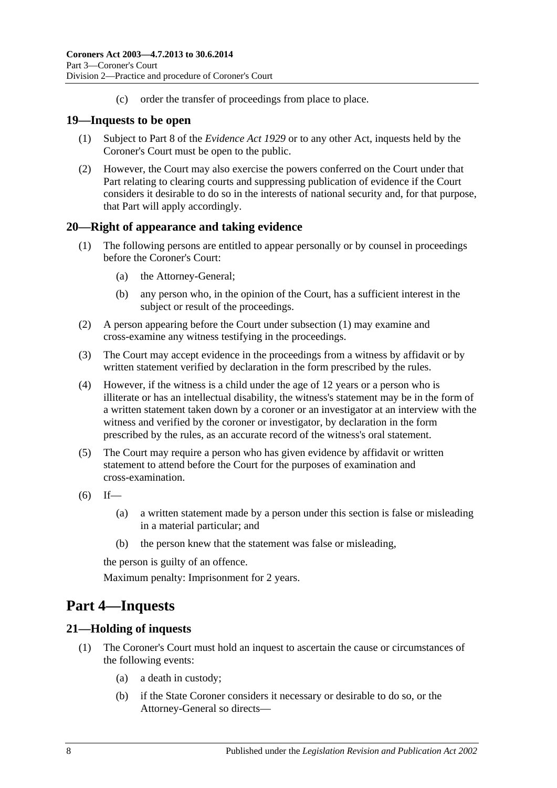(c) order the transfer of proceedings from place to place.

### <span id="page-7-0"></span>**19—Inquests to be open**

- (1) Subject to Part 8 of the *[Evidence Act](http://www.legislation.sa.gov.au/index.aspx?action=legref&type=act&legtitle=Evidence%20Act%201929) 1929* or to any other Act, inquests held by the Coroner's Court must be open to the public.
- (2) However, the Court may also exercise the powers conferred on the Court under that Part relating to clearing courts and suppressing publication of evidence if the Court considers it desirable to do so in the interests of national security and, for that purpose, that Part will apply accordingly.

# <span id="page-7-4"></span><span id="page-7-1"></span>**20—Right of appearance and taking evidence**

- (1) The following persons are entitled to appear personally or by counsel in proceedings before the Coroner's Court:
	- (a) the Attorney-General;
	- (b) any person who, in the opinion of the Court, has a sufficient interest in the subject or result of the proceedings.
- (2) A person appearing before the Court under [subsection](#page-7-4) (1) may examine and cross-examine any witness testifying in the proceedings.
- (3) The Court may accept evidence in the proceedings from a witness by affidavit or by written statement verified by declaration in the form prescribed by the rules.
- (4) However, if the witness is a child under the age of 12 years or a person who is illiterate or has an intellectual disability, the witness's statement may be in the form of a written statement taken down by a coroner or an investigator at an interview with the witness and verified by the coroner or investigator, by declaration in the form prescribed by the rules, as an accurate record of the witness's oral statement.
- (5) The Court may require a person who has given evidence by affidavit or written statement to attend before the Court for the purposes of examination and cross-examination.
- $(6)$  If—
	- (a) a written statement made by a person under this section is false or misleading in a material particular; and
	- (b) the person knew that the statement was false or misleading,

the person is guilty of an offence.

Maximum penalty: Imprisonment for 2 years.

# <span id="page-7-2"></span>**Part 4—Inquests**

# <span id="page-7-3"></span>**21—Holding of inquests**

- (1) The Coroner's Court must hold an inquest to ascertain the cause or circumstances of the following events:
	- (a) a death in custody;
	- (b) if the State Coroner considers it necessary or desirable to do so, or the Attorney-General so directs—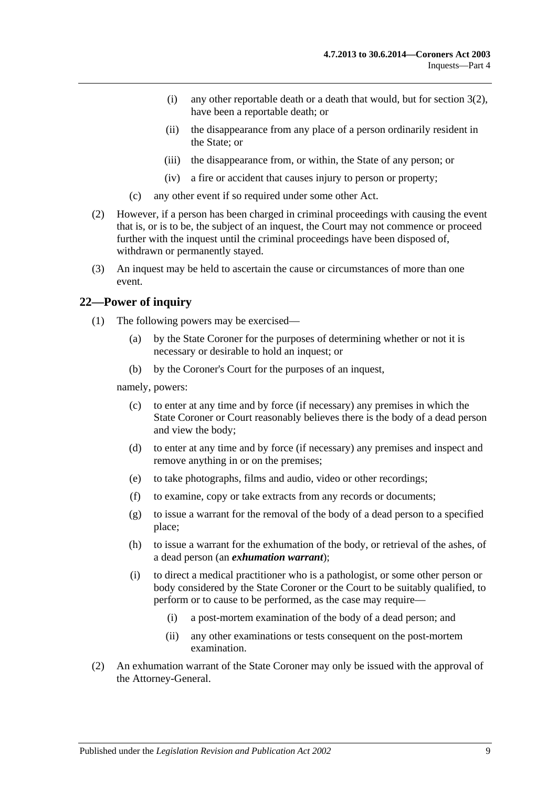- (i) any other reportable death or a death that would, but for [section](#page-4-4) 3(2), have been a reportable death; or
- (ii) the disappearance from any place of a person ordinarily resident in the State; or
- (iii) the disappearance from, or within, the State of any person; or
- (iv) a fire or accident that causes injury to person or property;
- (c) any other event if so required under some other Act.
- (2) However, if a person has been charged in criminal proceedings with causing the event that is, or is to be, the subject of an inquest, the Court may not commence or proceed further with the inquest until the criminal proceedings have been disposed of, withdrawn or permanently stayed.
- (3) An inquest may be held to ascertain the cause or circumstances of more than one event.

# <span id="page-8-0"></span>**22—Power of inquiry**

- (1) The following powers may be exercised—
	- (a) by the State Coroner for the purposes of determining whether or not it is necessary or desirable to hold an inquest; or
	- (b) by the Coroner's Court for the purposes of an inquest,

<span id="page-8-1"></span>namely, powers:

- (c) to enter at any time and by force (if necessary) any premises in which the State Coroner or Court reasonably believes there is the body of a dead person and view the body;
- (d) to enter at any time and by force (if necessary) any premises and inspect and remove anything in or on the premises;
- (e) to take photographs, films and audio, video or other recordings;
- <span id="page-8-2"></span>(f) to examine, copy or take extracts from any records or documents;
- (g) to issue a warrant for the removal of the body of a dead person to a specified place;
- (h) to issue a warrant for the exhumation of the body, or retrieval of the ashes, of a dead person (an *exhumation warrant*);
- (i) to direct a medical practitioner who is a pathologist, or some other person or body considered by the State Coroner or the Court to be suitably qualified, to perform or to cause to be performed, as the case may require—
	- (i) a post-mortem examination of the body of a dead person; and
	- (ii) any other examinations or tests consequent on the post-mortem examination.
- (2) An exhumation warrant of the State Coroner may only be issued with the approval of the Attorney-General.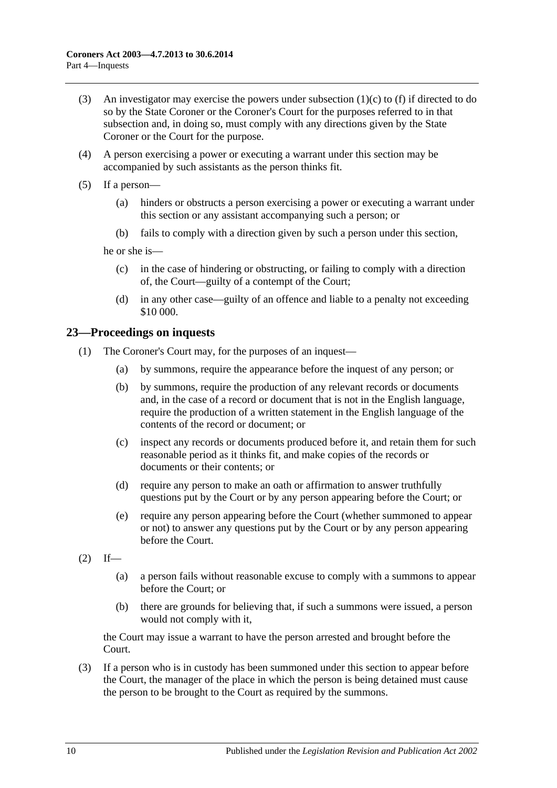- (3) An investigator may exercise the powers under [subsection](#page-8-1)  $(1)(c)$  to [\(f\)](#page-8-2) if directed to do so by the State Coroner or the Coroner's Court for the purposes referred to in that subsection and, in doing so, must comply with any directions given by the State Coroner or the Court for the purpose.
- (4) A person exercising a power or executing a warrant under this section may be accompanied by such assistants as the person thinks fit.
- (5) If a person—
	- (a) hinders or obstructs a person exercising a power or executing a warrant under this section or any assistant accompanying such a person; or
	- (b) fails to comply with a direction given by such a person under this section,

he or she is—

- (c) in the case of hindering or obstructing, or failing to comply with a direction of, the Court—guilty of a contempt of the Court;
- (d) in any other case—guilty of an offence and liable to a penalty not exceeding \$10 000.

# <span id="page-9-0"></span>**23—Proceedings on inquests**

- (1) The Coroner's Court may, for the purposes of an inquest—
	- (a) by summons, require the appearance before the inquest of any person; or
	- (b) by summons, require the production of any relevant records or documents and, in the case of a record or document that is not in the English language, require the production of a written statement in the English language of the contents of the record or document; or
	- (c) inspect any records or documents produced before it, and retain them for such reasonable period as it thinks fit, and make copies of the records or documents or their contents; or
	- (d) require any person to make an oath or affirmation to answer truthfully questions put by the Court or by any person appearing before the Court; or
	- (e) require any person appearing before the Court (whether summoned to appear or not) to answer any questions put by the Court or by any person appearing before the Court.
- $(2)$  If—
	- (a) a person fails without reasonable excuse to comply with a summons to appear before the Court; or
	- (b) there are grounds for believing that, if such a summons were issued, a person would not comply with it,

the Court may issue a warrant to have the person arrested and brought before the Court.

(3) If a person who is in custody has been summoned under this section to appear before the Court, the manager of the place in which the person is being detained must cause the person to be brought to the Court as required by the summons.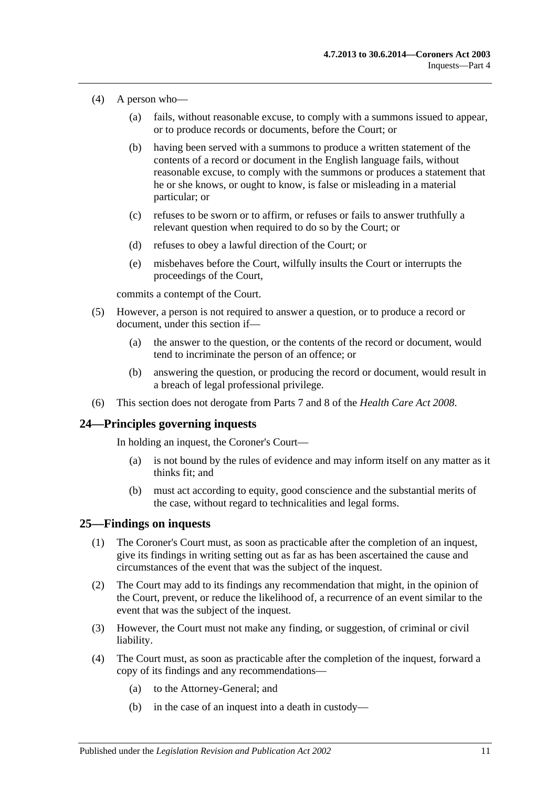- (4) A person who—
	- (a) fails, without reasonable excuse, to comply with a summons issued to appear, or to produce records or documents, before the Court; or
	- (b) having been served with a summons to produce a written statement of the contents of a record or document in the English language fails, without reasonable excuse, to comply with the summons or produces a statement that he or she knows, or ought to know, is false or misleading in a material particular; or
	- (c) refuses to be sworn or to affirm, or refuses or fails to answer truthfully a relevant question when required to do so by the Court; or
	- (d) refuses to obey a lawful direction of the Court; or
	- (e) misbehaves before the Court, wilfully insults the Court or interrupts the proceedings of the Court,

commits a contempt of the Court.

- (5) However, a person is not required to answer a question, or to produce a record or document, under this section if—
	- (a) the answer to the question, or the contents of the record or document, would tend to incriminate the person of an offence; or
	- (b) answering the question, or producing the record or document, would result in a breach of legal professional privilege.
- (6) This section does not derogate from Parts 7 and 8 of the *[Health Care Act](http://www.legislation.sa.gov.au/index.aspx?action=legref&type=act&legtitle=Health%20Care%20Act%202008) 2008*.

#### <span id="page-10-0"></span>**24—Principles governing inquests**

In holding an inquest, the Coroner's Court—

- (a) is not bound by the rules of evidence and may inform itself on any matter as it thinks fit; and
- (b) must act according to equity, good conscience and the substantial merits of the case, without regard to technicalities and legal forms.

#### <span id="page-10-1"></span>**25—Findings on inquests**

- (1) The Coroner's Court must, as soon as practicable after the completion of an inquest, give its findings in writing setting out as far as has been ascertained the cause and circumstances of the event that was the subject of the inquest.
- (2) The Court may add to its findings any recommendation that might, in the opinion of the Court, prevent, or reduce the likelihood of, a recurrence of an event similar to the event that was the subject of the inquest.
- (3) However, the Court must not make any finding, or suggestion, of criminal or civil liability.
- (4) The Court must, as soon as practicable after the completion of the inquest, forward a copy of its findings and any recommendations—
	- (a) to the Attorney-General; and
	- (b) in the case of an inquest into a death in custody—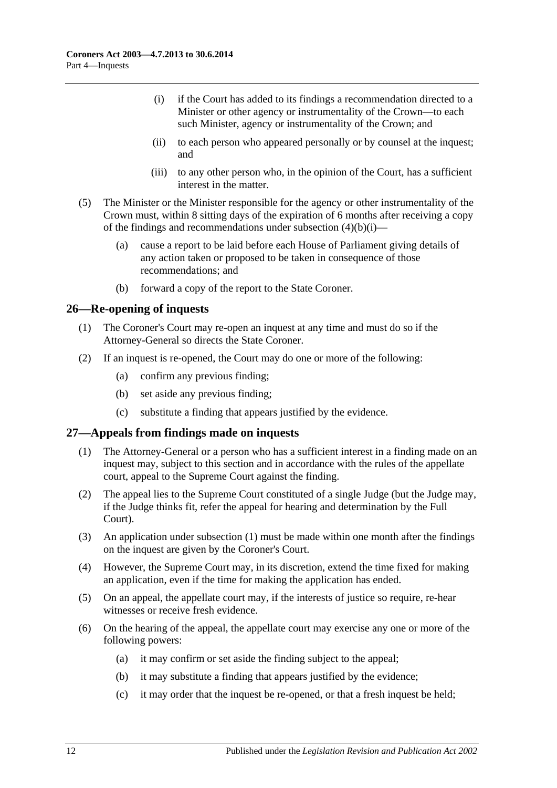- <span id="page-11-2"></span>(i) if the Court has added to its findings a recommendation directed to a Minister or other agency or instrumentality of the Crown—to each such Minister, agency or instrumentality of the Crown; and
- (ii) to each person who appeared personally or by counsel at the inquest; and
- (iii) to any other person who, in the opinion of the Court, has a sufficient interest in the matter.
- (5) The Minister or the Minister responsible for the agency or other instrumentality of the Crown must, within 8 sitting days of the expiration of 6 months after receiving a copy of the findings and recommendations under [subsection](#page-11-2)  $(4)(b)(i)$ —
	- (a) cause a report to be laid before each House of Parliament giving details of any action taken or proposed to be taken in consequence of those recommendations; and
	- (b) forward a copy of the report to the State Coroner.

### <span id="page-11-0"></span>**26—Re-opening of inquests**

- (1) The Coroner's Court may re-open an inquest at any time and must do so if the Attorney-General so directs the State Coroner.
- (2) If an inquest is re-opened, the Court may do one or more of the following:
	- (a) confirm any previous finding;
	- (b) set aside any previous finding;
	- (c) substitute a finding that appears justified by the evidence.

# <span id="page-11-3"></span><span id="page-11-1"></span>**27—Appeals from findings made on inquests**

- (1) The Attorney-General or a person who has a sufficient interest in a finding made on an inquest may, subject to this section and in accordance with the rules of the appellate court, appeal to the Supreme Court against the finding.
- (2) The appeal lies to the Supreme Court constituted of a single Judge (but the Judge may, if the Judge thinks fit, refer the appeal for hearing and determination by the Full Court).
- (3) An application under [subsection](#page-11-3) (1) must be made within one month after the findings on the inquest are given by the Coroner's Court.
- (4) However, the Supreme Court may, in its discretion, extend the time fixed for making an application, even if the time for making the application has ended.
- (5) On an appeal, the appellate court may, if the interests of justice so require, re-hear witnesses or receive fresh evidence.
- (6) On the hearing of the appeal, the appellate court may exercise any one or more of the following powers:
	- (a) it may confirm or set aside the finding subject to the appeal;
	- (b) it may substitute a finding that appears justified by the evidence;
	- (c) it may order that the inquest be re-opened, or that a fresh inquest be held;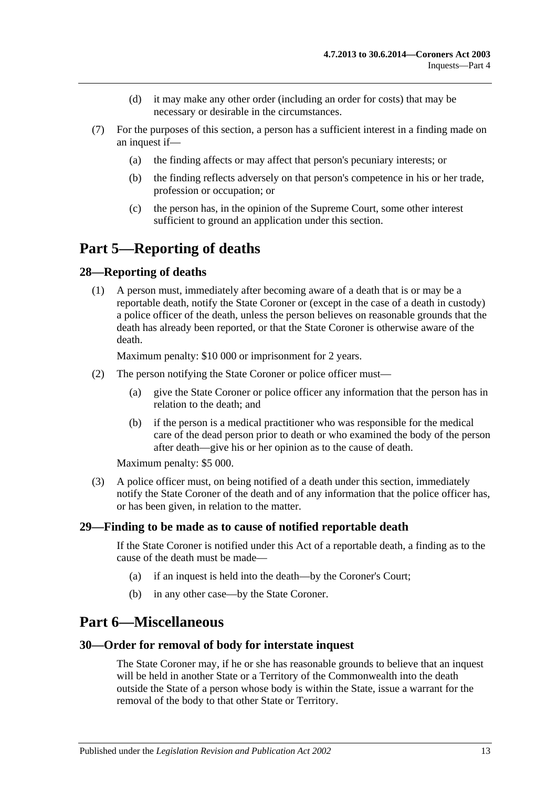- (d) it may make any other order (including an order for costs) that may be necessary or desirable in the circumstances.
- (7) For the purposes of this section, a person has a sufficient interest in a finding made on an inquest if—
	- (a) the finding affects or may affect that person's pecuniary interests; or
	- (b) the finding reflects adversely on that person's competence in his or her trade, profession or occupation; or
	- (c) the person has, in the opinion of the Supreme Court, some other interest sufficient to ground an application under this section.

# <span id="page-12-0"></span>**Part 5—Reporting of deaths**

### <span id="page-12-1"></span>**28—Reporting of deaths**

(1) A person must, immediately after becoming aware of a death that is or may be a reportable death, notify the State Coroner or (except in the case of a death in custody) a police officer of the death, unless the person believes on reasonable grounds that the death has already been reported, or that the State Coroner is otherwise aware of the death.

Maximum penalty: \$10 000 or imprisonment for 2 years.

- (2) The person notifying the State Coroner or police officer must—
	- (a) give the State Coroner or police officer any information that the person has in relation to the death; and
	- (b) if the person is a medical practitioner who was responsible for the medical care of the dead person prior to death or who examined the body of the person after death—give his or her opinion as to the cause of death.

Maximum penalty: \$5 000.

(3) A police officer must, on being notified of a death under this section, immediately notify the State Coroner of the death and of any information that the police officer has, or has been given, in relation to the matter.

#### <span id="page-12-2"></span>**29—Finding to be made as to cause of notified reportable death**

If the State Coroner is notified under this Act of a reportable death, a finding as to the cause of the death must be made—

- (a) if an inquest is held into the death—by the Coroner's Court;
- (b) in any other case—by the State Coroner.

# <span id="page-12-3"></span>**Part 6—Miscellaneous**

#### <span id="page-12-4"></span>**30—Order for removal of body for interstate inquest**

The State Coroner may, if he or she has reasonable grounds to believe that an inquest will be held in another State or a Territory of the Commonwealth into the death outside the State of a person whose body is within the State, issue a warrant for the removal of the body to that other State or Territory.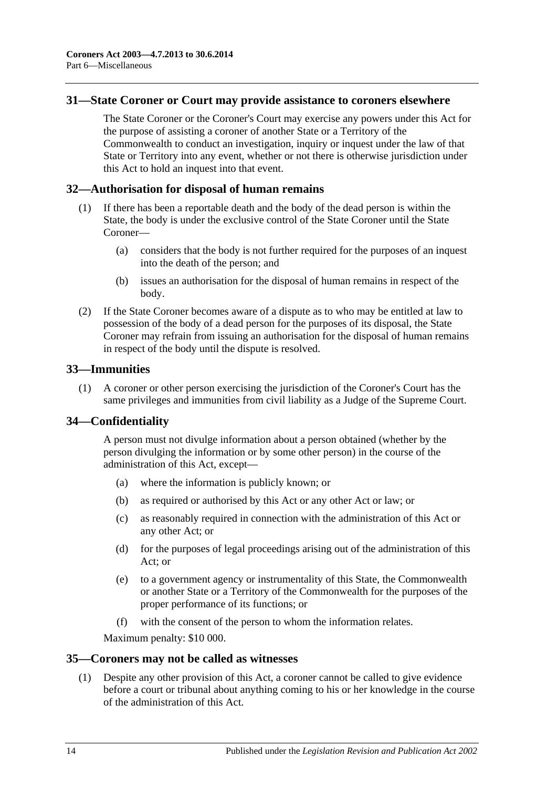### <span id="page-13-0"></span>**31—State Coroner or Court may provide assistance to coroners elsewhere**

The State Coroner or the Coroner's Court may exercise any powers under this Act for the purpose of assisting a coroner of another State or a Territory of the Commonwealth to conduct an investigation, inquiry or inquest under the law of that State or Territory into any event, whether or not there is otherwise jurisdiction under this Act to hold an inquest into that event.

#### <span id="page-13-1"></span>**32—Authorisation for disposal of human remains**

- (1) If there has been a reportable death and the body of the dead person is within the State, the body is under the exclusive control of the State Coroner until the State Coroner—
	- (a) considers that the body is not further required for the purposes of an inquest into the death of the person; and
	- (b) issues an authorisation for the disposal of human remains in respect of the body.
- (2) If the State Coroner becomes aware of a dispute as to who may be entitled at law to possession of the body of a dead person for the purposes of its disposal, the State Coroner may refrain from issuing an authorisation for the disposal of human remains in respect of the body until the dispute is resolved.

#### <span id="page-13-2"></span>**33—Immunities**

(1) A coroner or other person exercising the jurisdiction of the Coroner's Court has the same privileges and immunities from civil liability as a Judge of the Supreme Court.

# <span id="page-13-3"></span>**34—Confidentiality**

A person must not divulge information about a person obtained (whether by the person divulging the information or by some other person) in the course of the administration of this Act, except—

- (a) where the information is publicly known; or
- (b) as required or authorised by this Act or any other Act or law; or
- (c) as reasonably required in connection with the administration of this Act or any other Act; or
- (d) for the purposes of legal proceedings arising out of the administration of this Act; or
- (e) to a government agency or instrumentality of this State, the Commonwealth or another State or a Territory of the Commonwealth for the purposes of the proper performance of its functions; or
- (f) with the consent of the person to whom the information relates.

Maximum penalty: \$10 000.

#### <span id="page-13-5"></span><span id="page-13-4"></span>**35—Coroners may not be called as witnesses**

(1) Despite any other provision of this Act, a coroner cannot be called to give evidence before a court or tribunal about anything coming to his or her knowledge in the course of the administration of this Act.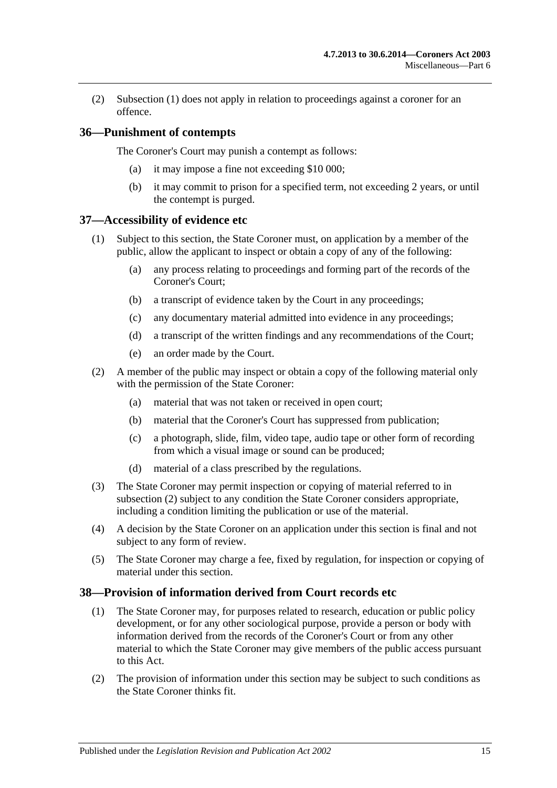(2) [Subsection](#page-13-5) (1) does not apply in relation to proceedings against a coroner for an offence.

# <span id="page-14-0"></span>**36—Punishment of contempts**

The Coroner's Court may punish a contempt as follows:

- (a) it may impose a fine not exceeding \$10 000;
- (b) it may commit to prison for a specified term, not exceeding 2 years, or until the contempt is purged.

#### <span id="page-14-1"></span>**37—Accessibility of evidence etc**

- (1) Subject to this section, the State Coroner must, on application by a member of the public, allow the applicant to inspect or obtain a copy of any of the following:
	- (a) any process relating to proceedings and forming part of the records of the Coroner's Court;
	- (b) a transcript of evidence taken by the Court in any proceedings;
	- (c) any documentary material admitted into evidence in any proceedings;
	- (d) a transcript of the written findings and any recommendations of the Court;
	- (e) an order made by the Court.
- <span id="page-14-3"></span>(2) A member of the public may inspect or obtain a copy of the following material only with the permission of the State Coroner:
	- (a) material that was not taken or received in open court;
	- (b) material that the Coroner's Court has suppressed from publication;
	- (c) a photograph, slide, film, video tape, audio tape or other form of recording from which a visual image or sound can be produced;
	- (d) material of a class prescribed by the regulations.
- (3) The State Coroner may permit inspection or copying of material referred to in [subsection](#page-14-3) (2) subject to any condition the State Coroner considers appropriate, including a condition limiting the publication or use of the material.
- (4) A decision by the State Coroner on an application under this section is final and not subject to any form of review.
- (5) The State Coroner may charge a fee, fixed by regulation, for inspection or copying of material under this section.

# <span id="page-14-2"></span>**38—Provision of information derived from Court records etc**

- (1) The State Coroner may, for purposes related to research, education or public policy development, or for any other sociological purpose, provide a person or body with information derived from the records of the Coroner's Court or from any other material to which the State Coroner may give members of the public access pursuant to this Act.
- (2) The provision of information under this section may be subject to such conditions as the State Coroner thinks fit.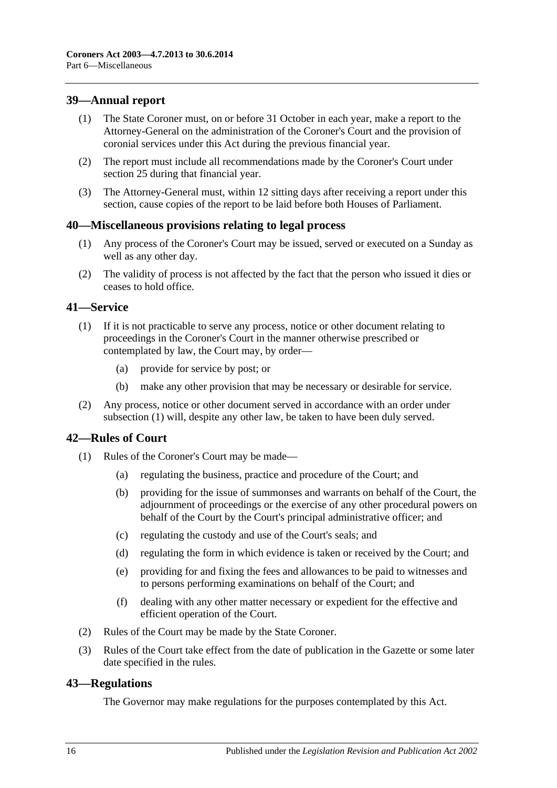# <span id="page-15-0"></span>**39—Annual report**

- (1) The State Coroner must, on or before 31 October in each year, make a report to the Attorney-General on the administration of the Coroner's Court and the provision of coronial services under this Act during the previous financial year.
- (2) The report must include all recommendations made by the Coroner's Court under [section](#page-10-1) 25 during that financial year.
- (3) The Attorney-General must, within 12 sitting days after receiving a report under this section, cause copies of the report to be laid before both Houses of Parliament.

### <span id="page-15-1"></span>**40—Miscellaneous provisions relating to legal process**

- (1) Any process of the Coroner's Court may be issued, served or executed on a Sunday as well as any other day.
- (2) The validity of process is not affected by the fact that the person who issued it dies or ceases to hold office.

### <span id="page-15-5"></span><span id="page-15-2"></span>**41—Service**

- (1) If it is not practicable to serve any process, notice or other document relating to proceedings in the Coroner's Court in the manner otherwise prescribed or contemplated by law, the Court may, by order—
	- (a) provide for service by post; or
	- (b) make any other provision that may be necessary or desirable for service.
- (2) Any process, notice or other document served in accordance with an order under [subsection](#page-15-5) (1) will, despite any other law, be taken to have been duly served.

# <span id="page-15-3"></span>**42—Rules of Court**

- (1) Rules of the Coroner's Court may be made—
	- (a) regulating the business, practice and procedure of the Court; and
	- (b) providing for the issue of summonses and warrants on behalf of the Court, the adjournment of proceedings or the exercise of any other procedural powers on behalf of the Court by the Court's principal administrative officer; and
	- (c) regulating the custody and use of the Court's seals; and
	- (d) regulating the form in which evidence is taken or received by the Court; and
	- (e) providing for and fixing the fees and allowances to be paid to witnesses and to persons performing examinations on behalf of the Court; and
	- (f) dealing with any other matter necessary or expedient for the effective and efficient operation of the Court.
- (2) Rules of the Court may be made by the State Coroner.
- (3) Rules of the Court take effect from the date of publication in the Gazette or some later date specified in the rules.

#### <span id="page-15-4"></span>**43—Regulations**

The Governor may make regulations for the purposes contemplated by this Act.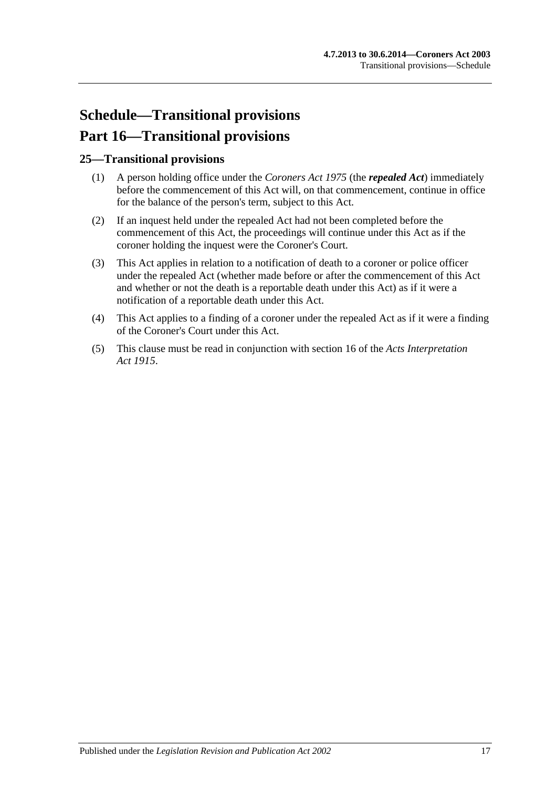# <span id="page-16-0"></span>**Schedule—Transitional provisions Part 16—Transitional provisions**

# <span id="page-16-1"></span>**25—Transitional provisions**

- (1) A person holding office under the *[Coroners Act](http://www.legislation.sa.gov.au/index.aspx?action=legref&type=act&legtitle=Coroners%20Act%201975) 1975* (the *repealed Act*) immediately before the commencement of this Act will, on that commencement, continue in office for the balance of the person's term, subject to this Act.
- (2) If an inquest held under the repealed Act had not been completed before the commencement of this Act, the proceedings will continue under this Act as if the coroner holding the inquest were the Coroner's Court.
- (3) This Act applies in relation to a notification of death to a coroner or police officer under the repealed Act (whether made before or after the commencement of this Act and whether or not the death is a reportable death under this Act) as if it were a notification of a reportable death under this Act.
- (4) This Act applies to a finding of a coroner under the repealed Act as if it were a finding of the Coroner's Court under this Act.
- (5) This clause must be read in conjunction with section 16 of the *[Acts Interpretation](http://www.legislation.sa.gov.au/index.aspx?action=legref&type=act&legtitle=Acts%20Interpretation%20Act%201915)  Act [1915](http://www.legislation.sa.gov.au/index.aspx?action=legref&type=act&legtitle=Acts%20Interpretation%20Act%201915)*.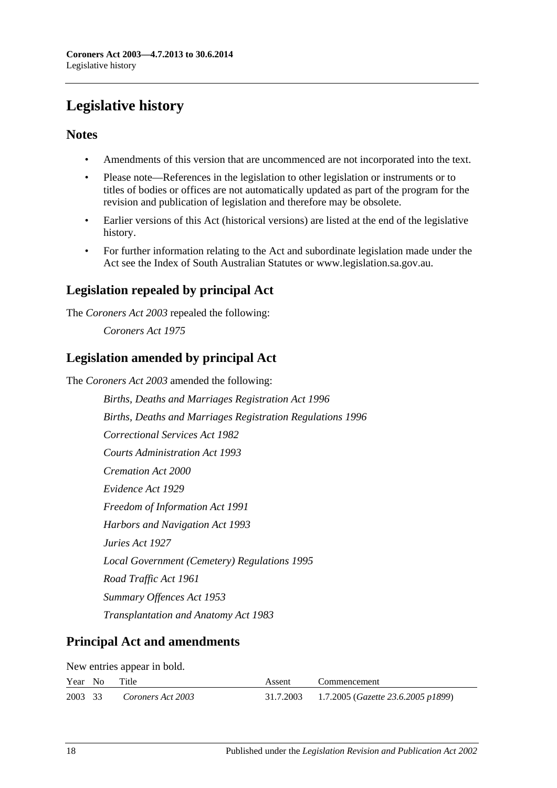# <span id="page-17-0"></span>**Legislative history**

# **Notes**

- Amendments of this version that are uncommenced are not incorporated into the text.
- Please note—References in the legislation to other legislation or instruments or to titles of bodies or offices are not automatically updated as part of the program for the revision and publication of legislation and therefore may be obsolete.
- Earlier versions of this Act (historical versions) are listed at the end of the legislative history.
- For further information relating to the Act and subordinate legislation made under the Act see the Index of South Australian Statutes or www.legislation.sa.gov.au.

# **Legislation repealed by principal Act**

The *Coroners Act 2003* repealed the following:

*Coroners Act 1975*

# **Legislation amended by principal Act**

The *Coroners Act 2003* amended the following:

*Births, Deaths and Marriages Registration Act 1996 Births, Deaths and Marriages Registration Regulations 1996 Correctional Services Act 1982 Courts Administration Act 1993 Cremation Act 2000 Evidence Act 1929 Freedom of Information Act 1991 Harbors and Navigation Act 1993 Juries Act 1927 Local Government (Cemetery) Regulations 1995 Road Traffic Act 1961 Summary Offences Act 1953 Transplantation and Anatomy Act 1983*

# **Principal Act and amendments**

New entries appear in bold.

|         | Year No | Title             | Assent | Commencement                                          |
|---------|---------|-------------------|--------|-------------------------------------------------------|
| 2003 33 |         | Coroners Act 2003 |        | 31.7.2003 1.7.2005 ( <i>Gazette 23.6.2005 p1899</i> ) |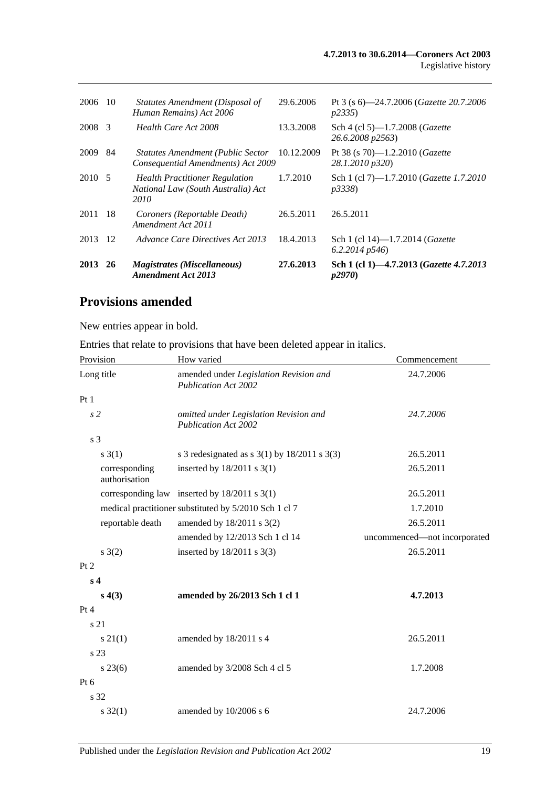| 2006    | 10            | Statutes Amendment (Disposal of<br>Human Remains) Act 2006                          | 29.6.2006  | Pt 3 (s 6)—24.7.2006 ( <i>Gazette</i> 20.7.2006<br>p2335    |
|---------|---------------|-------------------------------------------------------------------------------------|------------|-------------------------------------------------------------|
| 2008    | $\mathcal{E}$ | Health Care Act 2008                                                                | 13.3.2008  | Sch 4 (cl 5)-1.7.2008 (Gazette<br>26.6.2008 p2563)          |
| 2009    | 84            | <b>Statutes Amendment (Public Sector</b><br>Consequential Amendments) Act 2009      | 10.12.2009 | Pt 38 (s 70)-1.2.2010 ( <i>Gazette</i><br>28.1.2010 p320)   |
| 2010 5  |               | <b>Health Practitioner Regulation</b><br>National Law (South Australia) Act<br>2010 | 1.7.2010   | Sch 1 (cl 7)-1.7.2010 (Gazette 1.7.2010<br><i>p3338</i> )   |
| 2011    | -18           | Coroners (Reportable Death)<br>Amendment Act 2011                                   | 26.5.2011  | 26.5.2011                                                   |
| 2013    | -12           | Advance Care Directives Act 2013                                                    | 18.4.2013  | Sch 1 (cl 14)-1.7.2014 ( <i>Gazette</i><br>$6.2.2014$ p546) |
| 2013 26 |               | <i>Magistrates (Miscellaneous)</i><br><b>Amendment Act 2013</b>                     | 27.6.2013  | Sch 1 (cl 1)-4.7.2013 (Gazette 4.7.2013<br><i>p2970</i> )   |

# **Provisions amended**

New entries appear in bold.

Entries that relate to provisions that have been deleted appear in italics.

| Provision                      | How varied                                                            | Commencement                 |  |
|--------------------------------|-----------------------------------------------------------------------|------------------------------|--|
| Long title                     | amended under Legislation Revision and<br><b>Publication Act 2002</b> | 24.7.2006                    |  |
| Pt1                            |                                                                       |                              |  |
| s <sub>2</sub>                 | omitted under Legislation Revision and<br><b>Publication Act 2002</b> | 24.7.2006                    |  |
| s 3                            |                                                                       |                              |  |
| $s \; 3(1)$                    | s 3 redesignated as s $3(1)$ by $18/2011$ s $3(3)$                    | 26.5.2011                    |  |
| corresponding<br>authorisation | inserted by $18/2011$ s 3(1)                                          | 26.5.2011                    |  |
|                                | corresponding law inserted by $18/2011$ s $3(1)$                      | 26.5.2011                    |  |
|                                | medical practitioner substituted by 5/2010 Sch 1 cl 7                 | 1.7.2010                     |  |
| reportable death               | amended by 18/2011 s 3(2)                                             | 26.5.2011                    |  |
|                                | amended by 12/2013 Sch 1 cl 14                                        | uncommenced—not incorporated |  |
| $s \; 3(2)$                    | inserted by $18/2011$ s 3(3)                                          | 26.5.2011                    |  |
| Pt 2                           |                                                                       |                              |  |
| s <sub>4</sub>                 |                                                                       |                              |  |
| s(4(3))                        | amended by 26/2013 Sch 1 cl 1                                         | 4.7.2013                     |  |
| Pt 4                           |                                                                       |                              |  |
| s 21                           |                                                                       |                              |  |
| $s \, 21(1)$                   | amended by 18/2011 s 4                                                | 26.5.2011                    |  |
| s 23                           |                                                                       |                              |  |
| $s\,23(6)$                     | amended by 3/2008 Sch 4 cl 5                                          | 1.7.2008                     |  |
| Pt 6                           |                                                                       |                              |  |
| s 32                           |                                                                       |                              |  |
| $s \, 32(1)$                   | amended by 10/2006 s 6                                                | 24.7.2006                    |  |